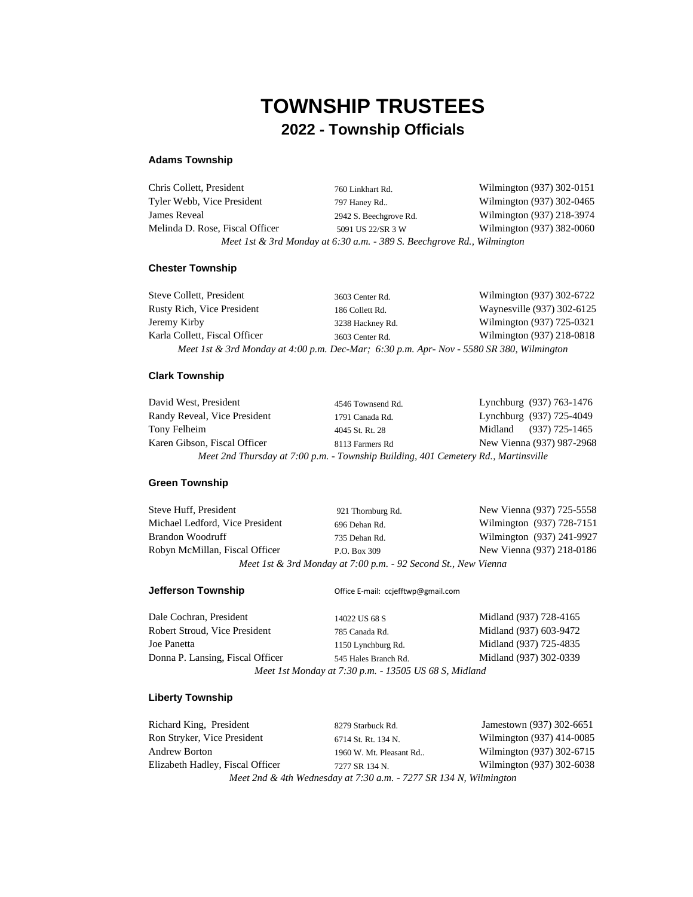# **TOWNSHIP TRUSTEES 2022 - Township Officials**

## **Adams Township**

| Chris Collett, President        | 760 Linkhart Rd.                                                       | Wilmington (937) 302-0151 |
|---------------------------------|------------------------------------------------------------------------|---------------------------|
| Tyler Webb, Vice President      | 797 Haney Rd                                                           | Wilmington (937) 302-0465 |
| James Reveal                    | 2942 S. Beechgrove Rd.                                                 | Wilmington (937) 218-3974 |
| Melinda D. Rose, Fiscal Officer | 5091 US 22/SR 3 W                                                      | Wilmington (937) 382-0060 |
|                                 | Meet 1st & 3rd Monday at 6:30 a.m. - 389 S. Beechgrove Rd., Wilmington |                           |

### **Chester Township**

| Steve Collett, President                                                                 | 3603 Center Rd.  | Wilmington (937) 302-6722  |
|------------------------------------------------------------------------------------------|------------------|----------------------------|
| Rusty Rich, Vice President                                                               | 186 Collett Rd.  | Waynesville (937) 302-6125 |
| Jeremy Kirby                                                                             | 3238 Hackney Rd. | Wilmington (937) 725-0321  |
| Karla Collett, Fiscal Officer                                                            | 3603 Center Rd.  | Wilmington (937) 218-0818  |
| Meet 1st & 3rd Monday at 4:00 p.m. Dec-Mar; 6:30 p.m. Apr- Nov - 5580 SR 380, Wilmington |                  |                            |

### **Clark Township**

| David West, President        | 4546 Townsend Rd.                                                                  | Lynchburg (937) 763-1476  |
|------------------------------|------------------------------------------------------------------------------------|---------------------------|
| Randy Reveal, Vice President | 1791 Canada Rd.                                                                    | Lynchburg (937) 725-4049  |
| Tony Felheim                 | 4045 St. Rt. 28                                                                    | Midland (937) 725-1465    |
| Karen Gibson, Fiscal Officer | 8113 Farmers Rd                                                                    | New Vienna (937) 987-2968 |
|                              | Meet 2nd Thursday at 7:00 p.m. - Township Building, 401 Cemetery Rd., Martinsville |                           |

### **Green Township**

| Steve Huff, President           | 921 Thornburg Rd.                                              | New Vienna (937) 725-5558 |
|---------------------------------|----------------------------------------------------------------|---------------------------|
| Michael Ledford, Vice President | 696 Dehan Rd.                                                  | Wilmington (937) 728-7151 |
| Brandon Woodruff                | 735 Dehan Rd.                                                  | Wilmington (937) 241-9927 |
| Robyn McMillan, Fiscal Officer  | P.O. Box 309                                                   | New Vienna (937) 218-0186 |
|                                 | Meet 1st & 3rd Monday at 7:00 p.m. - 92 Second St., New Vienna |                           |

**Jefferson Township Office E-mail: ccjefftwp@gmail.com** 

| Dale Cochran, President                               | 14022 US 68 S        | Midland (937) 728-4165 |
|-------------------------------------------------------|----------------------|------------------------|
| Robert Stroud, Vice President                         | 785 Canada Rd.       | Midland (937) 603-9472 |
| Joe Panetta                                           | 1150 Lynchburg Rd.   | Midland (937) 725-4835 |
| Donna P. Lansing, Fiscal Officer                      | 545 Hales Branch Rd. | Midland (937) 302-0339 |
| Meet 1st Monday at 7:30 p.m. - 13505 US 68 S, Midland |                      |                        |

### **Liberty Township**

| Richard King, President          | 8279 Starbuck Rd.                                                 | Jamestown (937) 302-6651  |
|----------------------------------|-------------------------------------------------------------------|---------------------------|
| Ron Stryker, Vice President      | 6714 St. Rt. 134 N.                                               | Wilmington (937) 414-0085 |
| <b>Andrew Borton</b>             | 1960 W. Mt. Pleasant Rd                                           | Wilmington (937) 302-6715 |
| Elizabeth Hadley, Fiscal Officer | 7277 SR 134 N.                                                    | Wilmington (937) 302-6038 |
|                                  | Meet 2nd & 4th Wednesday at 7:30 a.m. - 7277 SR 134 N, Wilmington |                           |